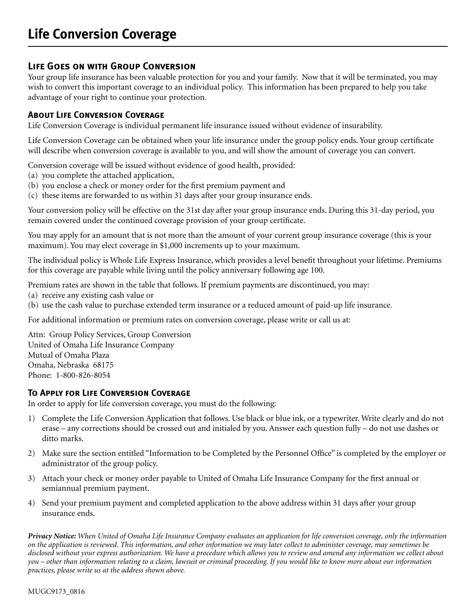# **Life Goes on with Group Conversion**

Your group life insurance has been valuable protection for you and your family. Now that it will be terminated, you may wish to convert this important coverage to an individual policy. This information has been prepared to help you take advantage of your right to continue your protection.

## **About Life Conversion Coverage**

Life Conversion Coverage is individual permanent life insurance issued without evidence of insurability.

Life Conversion Coverage can be obtained when your life insurance under the group policy ends. Your group certificate will describe when conversion coverage is available to you, and will show the amount of coverage you can convert.

Conversion coverage will be issued without evidence of good health, provided:

- (a) you complete the attached application,
- (b) you enclose a check or money order for the first premium payment and
- (c) these items are forwarded to us within 31 days after your group insurance ends.

Your conversion policy will be effective on the 31st day after your group insurance ends. During this 31-day period, you remain covered under the continued coverage provision of your group certificate.

You may apply for an amount that is not more than the amount of your current group insurance coverage (this is your maximum). You may elect coverage in \$1,000 increments up to your maximum.

The individual policy is Whole Life Express Insurance, which provides a level benefit throughout your lifetime. Premiums for this coverage are payable while living until the policy anniversary following age 100.

Premium rates are shown in the table that follows. If premium payments are discontinued, you may:

- (a) receive any existing cash value or
- (b) use the cash value to purchase extended term insurance or a reduced amount of paid-up life insurance.

For additional information or premium rates on conversion coverage, please write or call us at:

Attn: Group Policy Services, Group Conversion United of Omaha Life Insurance Company Mutual of Omaha Plaza Omaha, Nebraska 68175 Phone: 1-800-826-8054

## **To Apply for Life Conversion Coverage**

In order to apply for life conversion coverage, you must do the following:

- 1) Complete the Life Conversion Application that follows. Use black or blue ink, or a typewriter. Write clearly and do not erase – any corrections should be crossed out and initialed by you. Answer each question fully – do not use dashes or ditto marks.
- 2) Make sure the section entitled "Information to be Completed by the Personnel Office" is completed by the employer or administrator of the group policy.
- 3) Attach your check or money order payable to United of Omaha Life Insurance Company for the first annual or semiannual premium payment.
- 4) Send your premium payment and completed application to the above address within 31 days after your group insurance ends.

*Privacy Notice: When United of Omaha Life Insurance Company evaluates an application for life conversion coverage, only the information on the application is reviewed. This information, and other information we may later collect to administer coverage, may sometimes be disclosed without your express authorization. We have a procedure which allows you to review and amend any information we collect about you – other than information relating to a claim, lawsuit or criminal proceeding. If you would like to know more about our information practices, please write us at the address shown above.*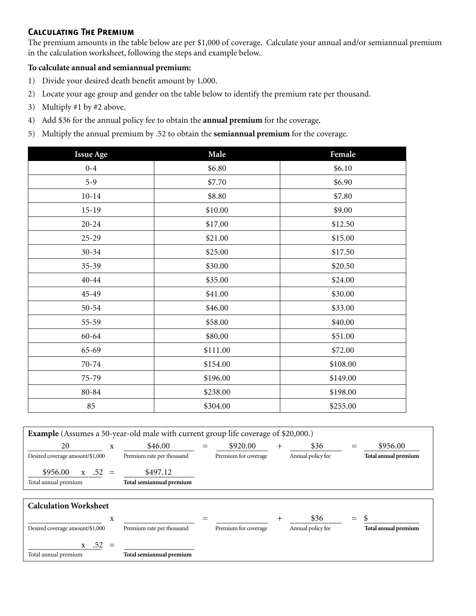# **Calculating The Premium**

The premium amounts in the table below are per \$1,000 of coverage. Calculate your annual and/or semiannual premium in the calculation worksheet, following the steps and example below.

#### **To calculate annual and semiannual premium:**

- 1) Divide your desired death benefit amount by 1,000.
- 2) Locate your age group and gender on the table below to identify the premium rate per thousand.
- 3) Multiply #1 by #2 above.
- 4) Add \$36 for the annual policy fee to obtain the **annual premium** for the coverage.
- 5) Multiply the annual premium by .52 to obtain the **semiannual premium** for the coverage.

| <b>Issue Age</b> | Male     | Female   |
|------------------|----------|----------|
| $0 - 4$          | \$6.80   | \$6.10   |
| $5-9$            | \$7.70   | \$6.90   |
| $10 - 14$        | \$8.80   | \$7.80   |
| $15 - 19$        | \$10.00  | \$9.00   |
| $20 - 24$        | \$17.00  | \$12.50  |
| $25-29$          | \$21.00  | \$15.00  |
| $30 - 34$        | \$25.00  | \$17.50  |
| $35-39$          | \$30.00  | \$20.50  |
| $40 - 44$        | \$35.00  | \$24.00  |
| 45-49            | \$41.00  | \$30.00  |
| $50 - 54$        | \$46.00  | \$33.00  |
| $55 - 59$        | \$58.00  | \$40.00  |
| $60 - 64$        | \$80.00  | \$51.00  |
| 65-69            | \$111.00 | \$72.00  |
| 70-74            | \$154.00 | \$108.00 |
| 75-79            | \$196.00 | \$149.00 |
| 80-84            | \$238.00 | \$198.00 |
| 85               | \$304.00 | \$255.00 |

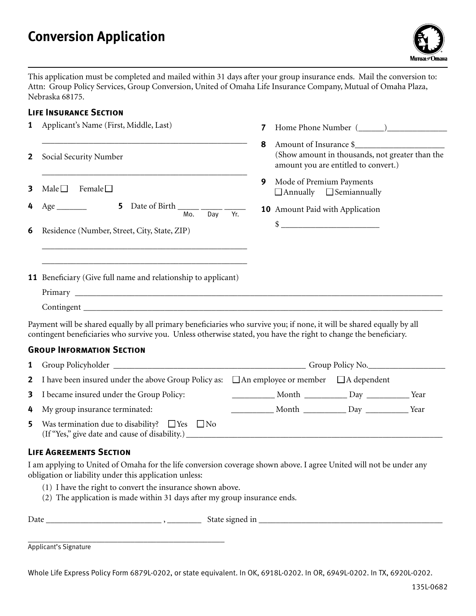# **Conversion Application**



This application must be completed and mailed within 31 days after your group insurance ends. Mail the conversion to: Attn: Group Policy Services, Group Conversion, United of Omaha Life Insurance Company, Mutual of Omaha Plaza, Nebraska 68175.

#### **Life Insurance Section**

| 1              | Applicant's Name (First, Middle, Last)                                                                                                                                                                                                                                                                 | 7        |                          |                                                                                                                   |  |  |
|----------------|--------------------------------------------------------------------------------------------------------------------------------------------------------------------------------------------------------------------------------------------------------------------------------------------------------|----------|--------------------------|-------------------------------------------------------------------------------------------------------------------|--|--|
| $\overline{2}$ | Social Security Number                                                                                                                                                                                                                                                                                 | 8        |                          | Amount of Insurance \$<br>(Show amount in thousands, not greater than the<br>amount you are entitled to convert.) |  |  |
| 3<br>4         | Male $\square$<br>Female $\square$<br>5 Date of Birth ________<br>$Age$ <sub>_____________</sub><br>Mo.<br>Day                                                                                                                                                                                         | 9<br>Yr. | Mode of Premium Payments | $\Box$ Annually $\Box$ Semiannually<br>10 Amount Paid with Application                                            |  |  |
| 6              | Residence (Number, Street, City, State, ZIP)                                                                                                                                                                                                                                                           |          |                          | $\frac{1}{2}$                                                                                                     |  |  |
|                | <b>11</b> Beneficiary (Give full name and relationship to applicant)<br>Contingent Learning and Continues and Continues and Continues and Continues and Continues and Continues and Continues and Continues and Continues and Continues and Continues and Continues and Continues and Continues and Co |          |                          |                                                                                                                   |  |  |
|                | Payment will be shared equally by all primary beneficiaries who survive you; if none, it will be shared equally by all<br>contingent beneficiaries who survive you. Unless otherwise stated, you have the right to change the beneficiary.                                                             |          |                          |                                                                                                                   |  |  |
|                | <b>GROUP INFORMATION SECTION</b>                                                                                                                                                                                                                                                                       |          |                          |                                                                                                                   |  |  |
| 1              |                                                                                                                                                                                                                                                                                                        |          |                          |                                                                                                                   |  |  |
| $\overline{2}$ | I have been insured under the above Group Policy as:                                                                                                                                                                                                                                                   |          |                          | $\Box$ An employee or member $\Box$ A dependent                                                                   |  |  |
| 3              | I became insured under the Group Policy:                                                                                                                                                                                                                                                               |          |                          |                                                                                                                   |  |  |
| 4              | My group insurance terminated:                                                                                                                                                                                                                                                                         |          |                          |                                                                                                                   |  |  |
|                | $\blacksquare$ Westermination due to disobility? $\square$ Ves $\square$ No.                                                                                                                                                                                                                           |          |                          |                                                                                                                   |  |  |

**5** Was termination due to disability?  $\Box$  Yes  $\Box$  No (If "Yes," give date and cause of disability.) \_\_\_\_\_\_\_\_\_\_\_\_\_\_\_\_\_\_\_\_\_\_\_\_\_\_\_\_\_\_\_\_\_\_\_\_\_\_\_\_\_\_\_\_\_\_\_\_\_\_\_\_\_\_\_\_\_\_\_\_

## **Life Agreements Section**

I am applying to United of Omaha for the life conversion coverage shown above. I agree United will not be under any obligation or liability under this application unless:

- (1) I have the right to convert the insurance shown above.
- (2) The application is made within 31 days after my group insurance ends.

| $\sqrt{ }$<br>Dal.<br>_____________________ |
|---------------------------------------------|
|---------------------------------------------|

\_\_\_\_\_\_\_\_\_\_\_\_\_\_\_\_\_\_\_\_\_\_\_\_\_\_\_\_\_\_\_\_\_\_\_\_\_\_\_\_\_\_\_\_\_\_ Applicant's Signature

Whole Life Express Policy Form 6879L-0202, or state equivalent. In OK, 6918L-0202. In OR, 6949L-0202. In TX, 6920L-0202.